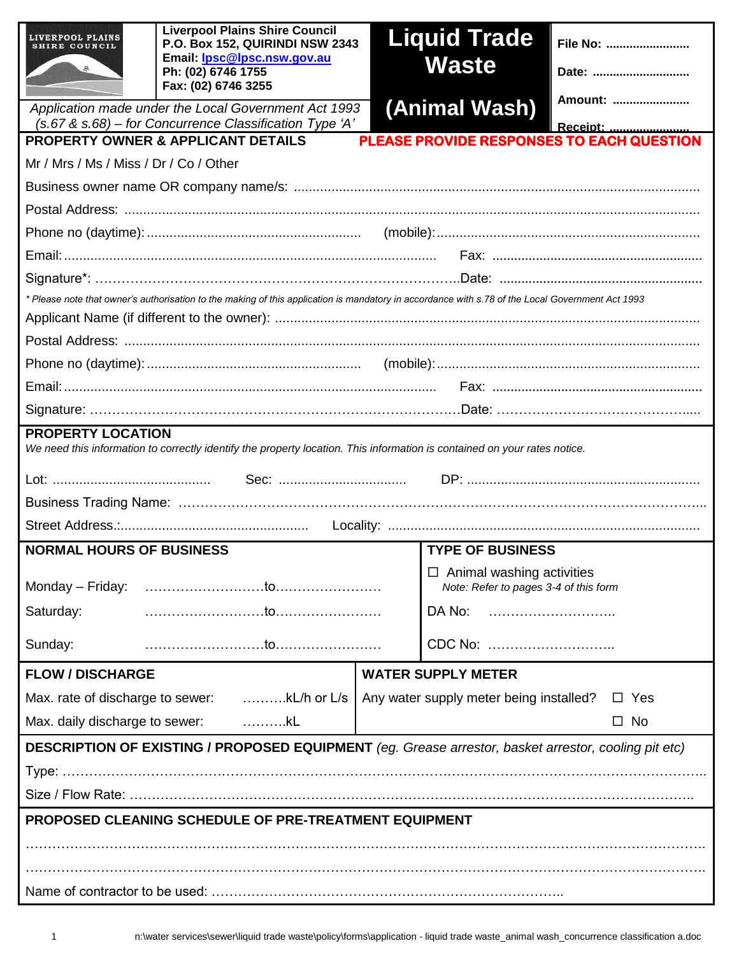| LIVERPOOL PLAINS<br>IRE COUNCIL                                                                                                                                          | <b>Liverpool Plains Shire Council</b><br>P.O. Box 152, QUIRINDI NSW 2343<br>Email: <b>Ipsc@lpsc.nsw.gov.au</b><br>Ph: (02) 6746 1755<br>Fax: (02) 6746 3255 |  | <b>Liquid Trade</b><br>Waste                                              | File No:<br>Date: |  |  |
|--------------------------------------------------------------------------------------------------------------------------------------------------------------------------|-------------------------------------------------------------------------------------------------------------------------------------------------------------|--|---------------------------------------------------------------------------|-------------------|--|--|
|                                                                                                                                                                          | Application made under the Local Government Act 1993                                                                                                        |  | (Animal Wash)                                                             | Amount:           |  |  |
| (s.67 & s.68) - for Concurrence Classification Type 'A'<br>Receipt:<br><b>PLEASE PROVIDE RESPONSES TO EACH QUESTION</b><br><b>PROPERTY OWNER &amp; APPLICANT DETAILS</b> |                                                                                                                                                             |  |                                                                           |                   |  |  |
| Mr / Mrs / Ms / Miss / Dr / Co / Other                                                                                                                                   |                                                                                                                                                             |  |                                                                           |                   |  |  |
|                                                                                                                                                                          |                                                                                                                                                             |  |                                                                           |                   |  |  |
|                                                                                                                                                                          |                                                                                                                                                             |  |                                                                           |                   |  |  |
|                                                                                                                                                                          |                                                                                                                                                             |  |                                                                           |                   |  |  |
|                                                                                                                                                                          |                                                                                                                                                             |  |                                                                           |                   |  |  |
|                                                                                                                                                                          |                                                                                                                                                             |  |                                                                           |                   |  |  |
|                                                                                                                                                                          | * Please note that owner's authorisation to the making of this application is mandatory in accordance with s.78 of the Local Government Act 1993            |  |                                                                           |                   |  |  |
|                                                                                                                                                                          |                                                                                                                                                             |  |                                                                           |                   |  |  |
|                                                                                                                                                                          |                                                                                                                                                             |  |                                                                           |                   |  |  |
|                                                                                                                                                                          |                                                                                                                                                             |  |                                                                           |                   |  |  |
|                                                                                                                                                                          |                                                                                                                                                             |  |                                                                           |                   |  |  |
|                                                                                                                                                                          |                                                                                                                                                             |  |                                                                           |                   |  |  |
| <b>PROPERTY LOCATION</b><br>We need this information to correctly identify the property location. This information is contained on your rates notice.                    |                                                                                                                                                             |  |                                                                           |                   |  |  |
|                                                                                                                                                                          |                                                                                                                                                             |  |                                                                           |                   |  |  |
|                                                                                                                                                                          |                                                                                                                                                             |  |                                                                           |                   |  |  |
|                                                                                                                                                                          |                                                                                                                                                             |  |                                                                           |                   |  |  |
| <b>TYPE OF BUSINESS</b><br><b>NORMAL HOURS OF BUSINESS</b>                                                                                                               |                                                                                                                                                             |  |                                                                           |                   |  |  |
| Monday – Friday:                                                                                                                                                         |                                                                                                                                                             |  | $\Box$ Animal washing activities<br>Note: Refer to pages 3-4 of this form |                   |  |  |
| Saturday:                                                                                                                                                                |                                                                                                                                                             |  | DA No:                                                                    |                   |  |  |
| Sunday:                                                                                                                                                                  |                                                                                                                                                             |  | CDC No:                                                                   |                   |  |  |
| <b>FLOW / DISCHARGE</b>                                                                                                                                                  |                                                                                                                                                             |  | <b>WATER SUPPLY METER</b>                                                 |                   |  |  |
|                                                                                                                                                                          | Max. rate of discharge to sewer: kL/h or L/s   Any water supply meter being installed?                                                                      |  | $\Box$ Yes                                                                |                   |  |  |
| Max. daily discharge to sewer:<br>. kL<br>$\square$ No                                                                                                                   |                                                                                                                                                             |  |                                                                           |                   |  |  |
| DESCRIPTION OF EXISTING / PROPOSED EQUIPMENT (eg. Grease arrestor, basket arrestor, cooling pit etc)                                                                     |                                                                                                                                                             |  |                                                                           |                   |  |  |
|                                                                                                                                                                          |                                                                                                                                                             |  |                                                                           |                   |  |  |
|                                                                                                                                                                          |                                                                                                                                                             |  |                                                                           |                   |  |  |
| PROPOSED CLEANING SCHEDULE OF PRE-TREATMENT EQUIPMENT                                                                                                                    |                                                                                                                                                             |  |                                                                           |                   |  |  |
|                                                                                                                                                                          |                                                                                                                                                             |  |                                                                           |                   |  |  |
|                                                                                                                                                                          |                                                                                                                                                             |  |                                                                           |                   |  |  |
|                                                                                                                                                                          |                                                                                                                                                             |  |                                                                           |                   |  |  |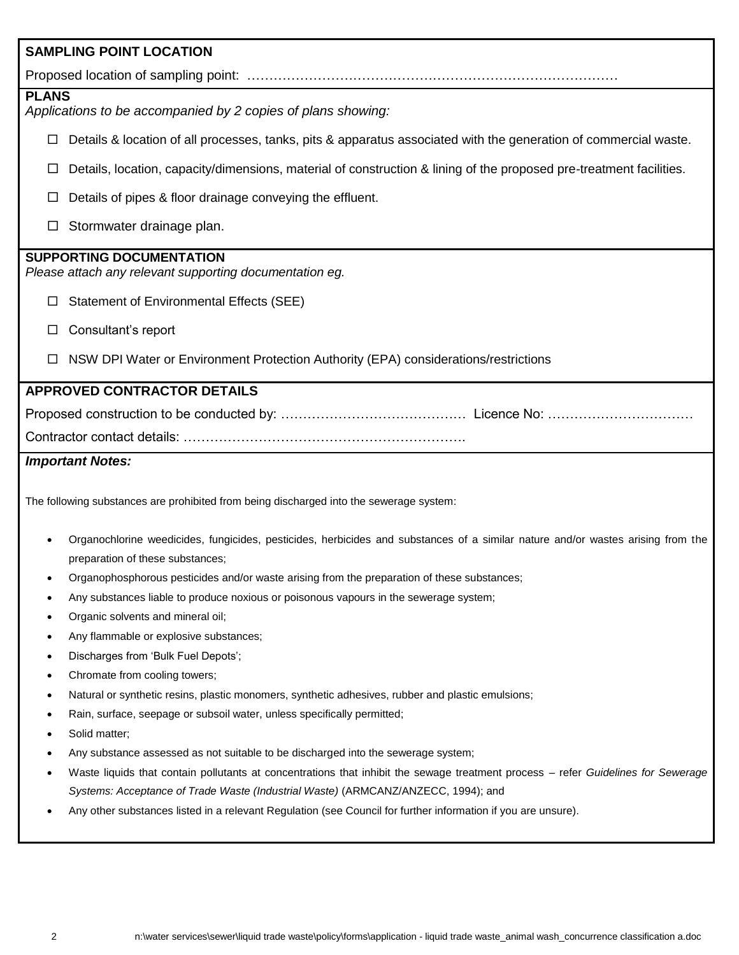| <b>SAMPLING POINT LOCATION</b>                                                                                                                                                                 |  |  |  |  |  |
|------------------------------------------------------------------------------------------------------------------------------------------------------------------------------------------------|--|--|--|--|--|
|                                                                                                                                                                                                |  |  |  |  |  |
| <b>PLANS</b><br>Applications to be accompanied by 2 copies of plans showing:                                                                                                                   |  |  |  |  |  |
| □                                                                                                                                                                                              |  |  |  |  |  |
| Details & location of all processes, tanks, pits & apparatus associated with the generation of commercial waste.                                                                               |  |  |  |  |  |
| Details, location, capacity/dimensions, material of construction & lining of the proposed pre-treatment facilities.<br>ப                                                                       |  |  |  |  |  |
| Details of pipes & floor drainage conveying the effluent.                                                                                                                                      |  |  |  |  |  |
| Stormwater drainage plan.<br>□                                                                                                                                                                 |  |  |  |  |  |
| <b>SUPPORTING DOCUMENTATION</b><br>Please attach any relevant supporting documentation eg.                                                                                                     |  |  |  |  |  |
| <b>Statement of Environmental Effects (SEE)</b><br>□                                                                                                                                           |  |  |  |  |  |
| Consultant's report<br>ப                                                                                                                                                                       |  |  |  |  |  |
| NSW DPI Water or Environment Protection Authority (EPA) considerations/restrictions                                                                                                            |  |  |  |  |  |
| <b>APPROVED CONTRACTOR DETAILS</b>                                                                                                                                                             |  |  |  |  |  |
|                                                                                                                                                                                                |  |  |  |  |  |
|                                                                                                                                                                                                |  |  |  |  |  |
| <b>Important Notes:</b>                                                                                                                                                                        |  |  |  |  |  |
| The following substances are prohibited from being discharged into the sewerage system:                                                                                                        |  |  |  |  |  |
| Organochlorine weedicides, fungicides, pesticides, herbicides and substances of a similar nature and/or wastes arising from the<br>preparation of these substances;                            |  |  |  |  |  |
| Organophosphorous pesticides and/or waste arising from the preparation of these substances;                                                                                                    |  |  |  |  |  |
| Any substances liable to produce noxious or poisonous vapours in the sewerage system;                                                                                                          |  |  |  |  |  |
| Organic solvents and mineral oil;                                                                                                                                                              |  |  |  |  |  |
| Any flammable or explosive substances;<br>$\bullet$                                                                                                                                            |  |  |  |  |  |
| Discharges from 'Bulk Fuel Depots';<br>$\bullet$                                                                                                                                               |  |  |  |  |  |
| Chromate from cooling towers;<br>٠                                                                                                                                                             |  |  |  |  |  |
| Natural or synthetic resins, plastic monomers, synthetic adhesives, rubber and plastic emulsions;<br>$\bullet$<br>Rain, surface, seepage or subsoil water, unless specifically permitted;<br>٠ |  |  |  |  |  |
| Solid matter;<br>٠                                                                                                                                                                             |  |  |  |  |  |
| Any substance assessed as not suitable to be discharged into the sewerage system;<br>٠                                                                                                         |  |  |  |  |  |
| Waste liquids that contain pollutants at concentrations that inhibit the sewage treatment process - refer Guidelines for Sewerage                                                              |  |  |  |  |  |
| Systems: Acceptance of Trade Waste (Industrial Waste) (ARMCANZ/ANZECC, 1994); and                                                                                                              |  |  |  |  |  |
| Any other substances listed in a relevant Regulation (see Council for further information if you are unsure).                                                                                  |  |  |  |  |  |
|                                                                                                                                                                                                |  |  |  |  |  |